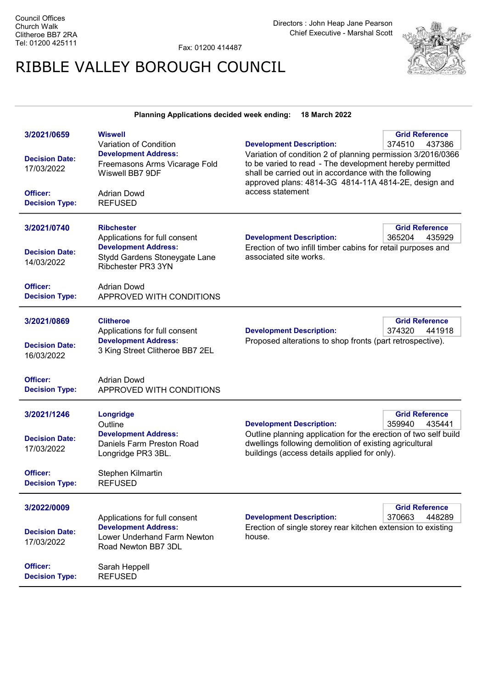3/2021/0659

Fax: 01200 414487

## RIBBLE VALLEY BOROUGH COUNCIL



Grid Reference

| Variation of Condition        | <b>Development Description:</b>                              | 374510<br>437386                                                                                                                                                                             |  |
|-------------------------------|--------------------------------------------------------------|----------------------------------------------------------------------------------------------------------------------------------------------------------------------------------------------|--|
| <b>Development Address:</b>   | Variation of condition 2 of planning permission 3/2016/0366  |                                                                                                                                                                                              |  |
| Freemasons Arms Vicarage Fold |                                                              |                                                                                                                                                                                              |  |
| Wiswell BB7 9DF               |                                                              |                                                                                                                                                                                              |  |
|                               |                                                              |                                                                                                                                                                                              |  |
|                               |                                                              |                                                                                                                                                                                              |  |
|                               |                                                              |                                                                                                                                                                                              |  |
| <b>Ribchester</b>             |                                                              | <b>Grid Reference</b>                                                                                                                                                                        |  |
| Applications for full consent | <b>Development Description:</b>                              | 365204<br>435929                                                                                                                                                                             |  |
| <b>Development Address:</b>   | Erection of two infill timber cabins for retail purposes and |                                                                                                                                                                                              |  |
| Stydd Gardens Stoneygate Lane | associated site works.                                       |                                                                                                                                                                                              |  |
| Ribchester PR3 3YN            |                                                              |                                                                                                                                                                                              |  |
| Adrian Dowd                   |                                                              |                                                                                                                                                                                              |  |
| APPROVED WITH CONDITIONS      |                                                              |                                                                                                                                                                                              |  |
|                               |                                                              | <b>Grid Reference</b>                                                                                                                                                                        |  |
|                               | Adrian Dowd<br><b>REFUSED</b><br><b>Clitheroe</b>            | to be varied to read - The development hereby permitted<br>shall be carried out in accordance with the following<br>approved plans: 4814-3G 4814-11A 4814-2E, design and<br>access statement |  |

Planning Applications decided week ending: 18 March 2022

## 3/2021/0869 Applications for full consent Decision Date: Development Address: 3 King Street Clitheroe BB7 2EL 16/03/2022

Wiswell

Development Description:

Development Description:

rence 374320 441918

Grid Reference

359940 435441

Grid Reference

Proposed alterations to shop fronts (part retrospective).

Outline planning application for the erection of two self build

dwellings following demolition of existing agricultural

buildings (access details applied for only).

Officer: Adrian Dowd Decision Type: APPROVED WITH CONDITIONS

## 3/2021/1246 **Outline** Longridge Decision Date: Development Address: Daniels Farm Preston Road Longridge PR3 3BL. 17/03/2022

Officer: Stephen Kilmartin Decision Type: REFUSED

## 3/2022/0009

|                                          | Applications for full consent                                                     | <b>Development Description:</b>                                        | 370663 | 448289 |
|------------------------------------------|-----------------------------------------------------------------------------------|------------------------------------------------------------------------|--------|--------|
| <b>Decision Date:</b><br>17/03/2022      | <b>Development Address:</b><br>Lower Underhand Farm Newton<br>Road Newton BB7 3DL | Erection of single storey rear kitchen extension to existing<br>house. |        |        |
| <b>Officer:</b><br><b>Decision Type:</b> | Sarah Heppell<br><b>REFUSED</b>                                                   |                                                                        |        |        |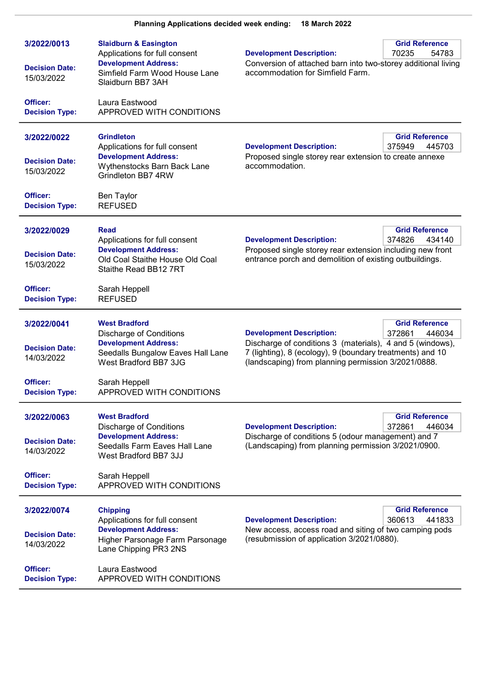| 3/2022/0013<br><b>Decision Date:</b><br>15/03/2022             | <b>Slaidburn &amp; Easington</b><br>Applications for full consent<br><b>Development Address:</b><br>Simfield Farm Wood House Lane<br>Slaidburn BB7 3AH               | <b>Development Description:</b><br>Conversion of attached barn into two-storey additional living<br>accommodation for Simfield Farm.                                                                             | <b>Grid Reference</b><br>70235<br>54783   |
|----------------------------------------------------------------|----------------------------------------------------------------------------------------------------------------------------------------------------------------------|------------------------------------------------------------------------------------------------------------------------------------------------------------------------------------------------------------------|-------------------------------------------|
| Officer:<br><b>Decision Type:</b>                              | Laura Eastwood<br>APPROVED WITH CONDITIONS                                                                                                                           |                                                                                                                                                                                                                  |                                           |
| 3/2022/0022<br><b>Decision Date:</b><br>15/03/2022             | <b>Grindleton</b><br>Applications for full consent<br><b>Development Address:</b><br>Wythenstocks Barn Back Lane<br>Grindleton BB7 4RW                               | <b>Development Description:</b><br>Proposed single storey rear extension to create annexe<br>accommodation.                                                                                                      | <b>Grid Reference</b><br>375949<br>445703 |
| Officer:<br><b>Decision Type:</b>                              | <b>Ben Taylor</b><br><b>REFUSED</b>                                                                                                                                  |                                                                                                                                                                                                                  |                                           |
| 3/2022/0029<br><b>Decision Date:</b><br>15/03/2022             | <b>Read</b><br>Applications for full consent<br><b>Development Address:</b><br>Old Coal Staithe House Old Coal<br>Staithe Read BB12 7RT                              | <b>Development Description:</b><br>Proposed single storey rear extension including new front<br>entrance porch and demolition of existing outbuildings.                                                          | <b>Grid Reference</b><br>374826<br>434140 |
| Officer:<br><b>Decision Type:</b>                              | Sarah Heppell<br><b>REFUSED</b>                                                                                                                                      |                                                                                                                                                                                                                  |                                           |
| 3/2022/0041<br><b>Decision Date:</b><br>14/03/2022<br>Officer: | <b>West Bradford</b><br><b>Discharge of Conditions</b><br><b>Development Address:</b><br>Seedalls Bungalow Eaves Hall Lane<br>West Bradford BB7 3JG<br>Sarah Heppell | <b>Development Description:</b><br>Discharge of conditions 3 (materials), 4 and 5 (windows),<br>7 (lighting), 8 (ecology), 9 (boundary treatments) and 10<br>(landscaping) from planning permission 3/2021/0888. | <b>Grid Reference</b><br>372861<br>446034 |
| <b>Decision Type:</b>                                          | APPROVED WITH CONDITIONS                                                                                                                                             |                                                                                                                                                                                                                  |                                           |
| 3/2022/0063<br><b>Decision Date:</b><br>14/03/2022             | <b>West Bradford</b><br><b>Discharge of Conditions</b><br><b>Development Address:</b><br>Seedalls Farm Eaves Hall Lane<br>West Bradford BB7 3JJ                      | <b>Development Description:</b><br>Discharge of conditions 5 (odour management) and 7<br>(Landscaping) from planning permission 3/2021/0900.                                                                     | <b>Grid Reference</b><br>446034<br>372861 |
| Officer:<br><b>Decision Type:</b>                              | Sarah Heppell<br>APPROVED WITH CONDITIONS                                                                                                                            |                                                                                                                                                                                                                  |                                           |
| 3/2022/0074<br><b>Decision Date:</b><br>14/03/2022             | <b>Chipping</b><br>Applications for full consent<br><b>Development Address:</b><br>Higher Parsonage Farm Parsonage<br>Lane Chipping PR3 2NS                          | <b>Development Description:</b><br>New access, access road and siting of two camping pods<br>(resubmission of application 3/2021/0880).                                                                          | <b>Grid Reference</b><br>360613<br>441833 |
| Officer:<br><b>Decision Type:</b>                              | Laura Eastwood<br>APPROVED WITH CONDITIONS                                                                                                                           |                                                                                                                                                                                                                  |                                           |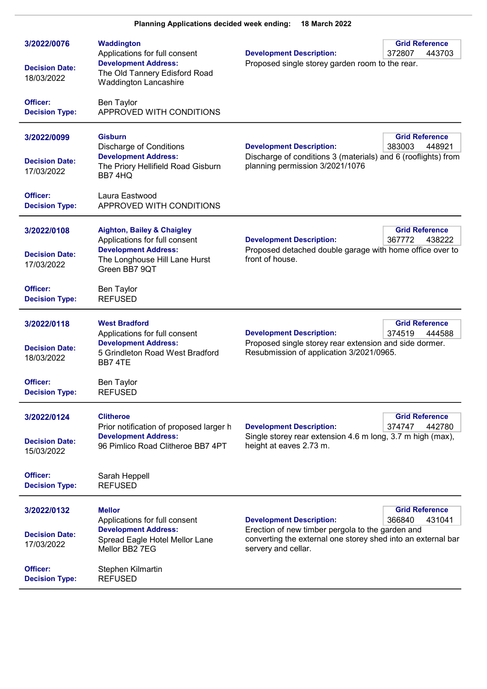| 3/2022/0076                         | Waddington<br>Applications for full consent                                                  | <b>Development Description:</b>                                                                                                         | <b>Grid Reference</b><br>372807<br>443703 |
|-------------------------------------|----------------------------------------------------------------------------------------------|-----------------------------------------------------------------------------------------------------------------------------------------|-------------------------------------------|
| <b>Decision Date:</b><br>18/03/2022 | <b>Development Address:</b><br>The Old Tannery Edisford Road<br><b>Waddington Lancashire</b> | Proposed single storey garden room to the rear.                                                                                         |                                           |
| Officer:<br><b>Decision Type:</b>   | Ben Taylor<br>APPROVED WITH CONDITIONS                                                       |                                                                                                                                         |                                           |
| 3/2022/0099                         | <b>Gisburn</b><br><b>Discharge of Conditions</b>                                             | <b>Development Description:</b>                                                                                                         | <b>Grid Reference</b><br>383003<br>448921 |
| <b>Decision Date:</b><br>17/03/2022 | <b>Development Address:</b><br>The Priory Hellifield Road Gisburn<br>BB7 4HQ                 | Discharge of conditions 3 (materials) and 6 (rooflights) from<br>planning permission 3/2021/1076                                        |                                           |
| Officer:<br><b>Decision Type:</b>   | Laura Eastwood<br>APPROVED WITH CONDITIONS                                                   |                                                                                                                                         |                                           |
| 3/2022/0108                         | <b>Aighton, Bailey &amp; Chaigley</b><br>Applications for full consent                       | <b>Development Description:</b>                                                                                                         | <b>Grid Reference</b><br>367772<br>438222 |
| <b>Decision Date:</b><br>17/03/2022 | <b>Development Address:</b><br>The Longhouse Hill Lane Hurst<br>Green BB7 9QT                | Proposed detached double garage with home office over to<br>front of house.                                                             |                                           |
| Officer:<br><b>Decision Type:</b>   | <b>Ben Taylor</b><br><b>REFUSED</b>                                                          |                                                                                                                                         |                                           |
| 3/2022/0118                         | <b>West Bradford</b><br>Applications for full consent                                        | <b>Development Description:</b>                                                                                                         | <b>Grid Reference</b><br>374519<br>444588 |
| <b>Decision Date:</b><br>18/03/2022 | <b>Development Address:</b><br>5 Grindleton Road West Bradford<br>BB7 4TE                    | Proposed single storey rear extension and side dormer.<br>Resubmission of application 3/2021/0965.                                      |                                           |
| Officer:<br><b>Decision Type:</b>   | <b>Ben Taylor</b><br><b>REFUSED</b>                                                          |                                                                                                                                         |                                           |
| 3/2022/0124                         | <b>Clitheroe</b><br>Prior notification of proposed larger h                                  | <b>Development Description:</b>                                                                                                         | <b>Grid Reference</b><br>374747<br>442780 |
| <b>Decision Date:</b><br>15/03/2022 | <b>Development Address:</b><br>96 Pimlico Road Clitheroe BB7 4PT                             | Single storey rear extension 4.6 m long, 3.7 m high (max),<br>height at eaves 2.73 m.                                                   |                                           |
| Officer:<br><b>Decision Type:</b>   | Sarah Heppell<br><b>REFUSED</b>                                                              |                                                                                                                                         |                                           |
| 3/2022/0132                         | <b>Mellor</b><br>Applications for full consent                                               | <b>Development Description:</b>                                                                                                         | <b>Grid Reference</b><br>366840<br>431041 |
| <b>Decision Date:</b><br>17/03/2022 | <b>Development Address:</b><br>Spread Eagle Hotel Mellor Lane<br>Mellor BB2 7EG              | Erection of new timber pergola to the garden and<br>converting the external one storey shed into an external bar<br>servery and cellar. |                                           |
| Officer:<br><b>Decision Type:</b>   | Stephen Kilmartin<br><b>REFUSED</b>                                                          |                                                                                                                                         |                                           |